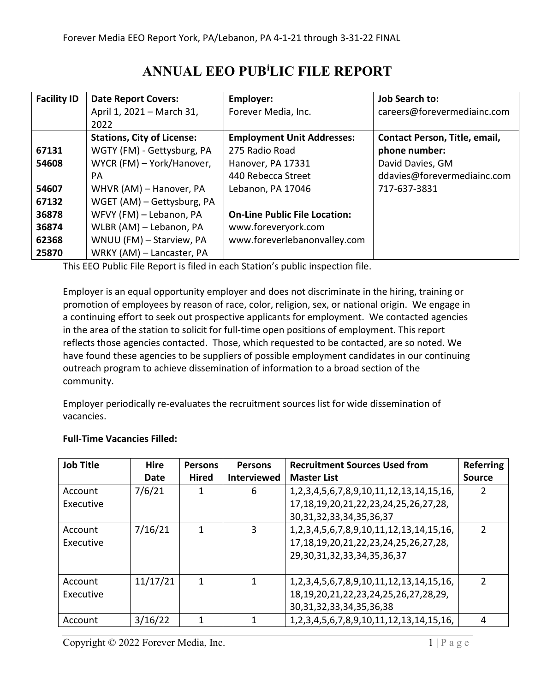## **ANNUAL EEO PUB[i](#page-14-0) LIC FILE REPORT**

| <b>Facility ID</b> | <b>Date Report Covers:</b>        | Employer:                            | <b>Job Search to:</b>         |
|--------------------|-----------------------------------|--------------------------------------|-------------------------------|
|                    | April 1, 2021 - March 31,         | Forever Media, Inc.                  | careers@forevermediainc.com   |
|                    | 2022                              |                                      |                               |
|                    | <b>Stations, City of License:</b> | <b>Employment Unit Addresses:</b>    | Contact Person, Title, email, |
| 67131              | WGTY (FM) - Gettysburg, PA        | 275 Radio Road                       | phone number:                 |
| 54608              | WYCR (FM) - York/Hanover,         | Hanover, PA 17331                    | David Davies, GM              |
|                    | PA                                | 440 Rebecca Street                   | ddavies@forevermediainc.com   |
| 54607              | WHVR (AM) - Hanover, PA           | Lebanon, PA 17046                    | 717-637-3831                  |
| 67132              | WGET (AM) – Gettysburg, PA        |                                      |                               |
| 36878              | WFVY (FM) - Lebanon, PA           | <b>On-Line Public File Location:</b> |                               |
| 36874              | WLBR (AM) - Lebanon, PA           | www.foreveryork.com                  |                               |
| 62368              | WNUU (FM) - Starview, PA          | www.foreverlebanonvalley.com         |                               |
| 25870              | WRKY (AM) - Lancaster, PA         |                                      |                               |

This EEO Public File Report is filed in each Station's public inspection file.

Employer is an equal opportunity employer and does not discriminate in the hiring, training or promotion of employees by reason of race, color, religion, sex, or national origin. We engage in a continuing effort to seek out prospective applicants for employment. We contacted agencies in the area of the station to solicit for full-time open positions of employment. This report reflects those agencies contacted. Those, which requested to be contacted, are so noted. We have found these agencies to be suppliers of possible employment candidates in our continuing outreach program to achieve dissemination of information to a broad section of the community.

Employer periodically re-evaluates the recruitment sources list for wide dissemination of vacancies.

| <b>Job Title</b> | <b>Hire</b> | <b>Persons</b> | <b>Persons</b>     | <b>Recruitment Sources Used from</b>                   | <b>Referring</b> |
|------------------|-------------|----------------|--------------------|--------------------------------------------------------|------------------|
|                  | Date        | <b>Hired</b>   | <b>Interviewed</b> | <b>Master List</b>                                     | <b>Source</b>    |
| Account          | 7/6/21      | 1              | 6                  | 1, 2, 3, 4, 5, 6, 7, 8, 9, 10, 11, 12, 13, 14, 15, 16, |                  |
| Executive        |             |                |                    | 17, 18, 19, 20, 21, 22, 23, 24, 25, 26, 27, 28,        |                  |
|                  |             |                |                    | 30, 31, 32, 33, 34, 35, 36, 37                         |                  |
| Account          | 7/16/21     |                | 3                  | 1, 2, 3, 4, 5, 6, 7, 8, 9, 10, 11, 12, 13, 14, 15, 16, | $\overline{2}$   |
| Executive        |             |                |                    | 17, 18, 19, 20, 21, 22, 23, 24, 25, 26, 27, 28,        |                  |
|                  |             |                |                    | 29, 30, 31, 32, 33, 34, 35, 36, 37                     |                  |
|                  |             |                |                    |                                                        |                  |
| Account          | 11/17/21    | 1              | 1                  | 1, 2, 3, 4, 5, 6, 7, 8, 9, 10, 11, 12, 13, 14, 15, 16, | $\mathcal{P}$    |
| Executive        |             |                |                    | 18, 19, 20, 21, 22, 23, 24, 25, 26, 27, 28, 29,        |                  |
|                  |             |                |                    | 30, 31, 32, 33, 34, 35, 36, 38                         |                  |
| Account          | 3/16/22     |                | 1                  | 1, 2, 3, 4, 5, 6, 7, 8, 9, 10, 11, 12, 13, 14, 15, 16, | 4                |

## **Full-Time Vacancies Filled:**

Copyright  $\odot$  2022 Forever Media, Inc. 1 | P a g e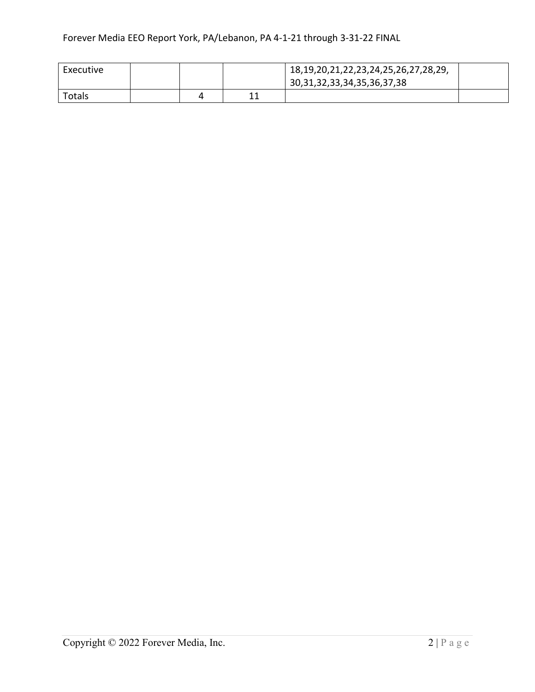| Executive |  |        | 18, 19, 20, 21, 22, 23, 24, 25, 26, 27, 28, 29,<br>30, 31, 32, 33, 34, 35, 36, 37, 38 |  |
|-----------|--|--------|---------------------------------------------------------------------------------------|--|
|           |  |        |                                                                                       |  |
| Totals    |  | $\sim$ |                                                                                       |  |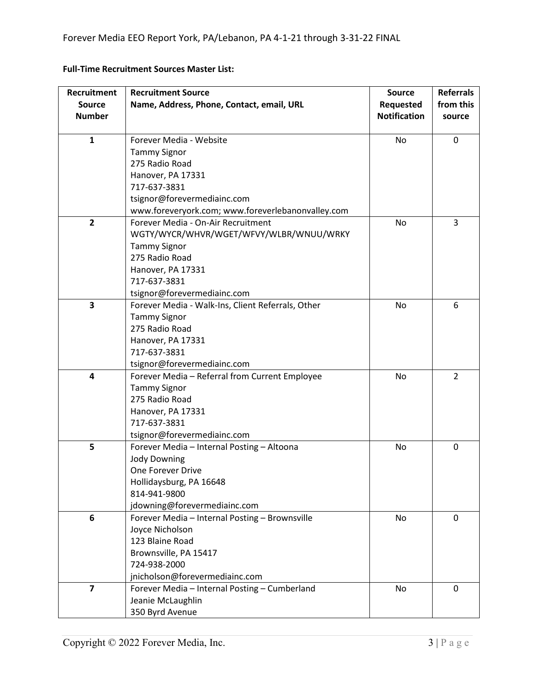| Recruitment             | <b>Recruitment Source</b>                         | <b>Source</b>       | <b>Referrals</b> |
|-------------------------|---------------------------------------------------|---------------------|------------------|
| <b>Source</b>           | Name, Address, Phone, Contact, email, URL         | <b>Requested</b>    | from this        |
| <b>Number</b>           |                                                   | <b>Notification</b> | source           |
|                         |                                                   |                     |                  |
| $\mathbf{1}$            | Forever Media - Website                           | No                  | $\mathbf 0$      |
|                         | <b>Tammy Signor</b>                               |                     |                  |
|                         | 275 Radio Road                                    |                     |                  |
|                         | Hanover, PA 17331                                 |                     |                  |
|                         | 717-637-3831                                      |                     |                  |
|                         | tsignor@forevermediainc.com                       |                     |                  |
|                         | www.foreveryork.com; www.foreverlebanonvalley.com |                     |                  |
| $\overline{2}$          | Forever Media - On-Air Recruitment                | No                  | 3                |
|                         | WGTY/WYCR/WHVR/WGET/WFVY/WLBR/WNUU/WRKY           |                     |                  |
|                         | <b>Tammy Signor</b>                               |                     |                  |
|                         | 275 Radio Road                                    |                     |                  |
|                         | Hanover, PA 17331                                 |                     |                  |
|                         | 717-637-3831                                      |                     |                  |
|                         | tsignor@forevermediainc.com                       |                     |                  |
| $\overline{\mathbf{3}}$ | Forever Media - Walk-Ins, Client Referrals, Other | No                  | 6                |
|                         | <b>Tammy Signor</b>                               |                     |                  |
|                         | 275 Radio Road                                    |                     |                  |
|                         | Hanover, PA 17331                                 |                     |                  |
|                         | 717-637-3831                                      |                     |                  |
|                         | tsignor@forevermediainc.com                       |                     |                  |
| 4                       | Forever Media - Referral from Current Employee    | No                  | $\overline{2}$   |
|                         | <b>Tammy Signor</b>                               |                     |                  |
|                         | 275 Radio Road                                    |                     |                  |
|                         | Hanover, PA 17331                                 |                     |                  |
|                         | 717-637-3831                                      |                     |                  |
|                         | tsignor@forevermediainc.com                       |                     |                  |
| 5                       | Forever Media - Internal Posting - Altoona        | No                  | $\mathbf 0$      |
|                         | <b>Jody Downing</b>                               |                     |                  |
|                         | One Forever Drive                                 |                     |                  |
|                         | Hollidaysburg, PA 16648                           |                     |                  |
|                         | 814-941-9800                                      |                     |                  |
|                         | jdowning@forevermediainc.com                      |                     |                  |
| 6                       | Forever Media - Internal Posting - Brownsville    | No                  | $\mathbf 0$      |
|                         | Joyce Nicholson                                   |                     |                  |
|                         | 123 Blaine Road                                   |                     |                  |
|                         | Brownsville, PA 15417                             |                     |                  |
|                         | 724-938-2000                                      |                     |                  |
|                         | jnicholson@forevermediainc.com                    |                     |                  |
| $\overline{7}$          | Forever Media - Internal Posting - Cumberland     | No                  | 0                |
|                         | Jeanie McLaughlin                                 |                     |                  |
|                         | 350 Byrd Avenue                                   |                     |                  |

## **Full-Time Recruitment Sources Master List:**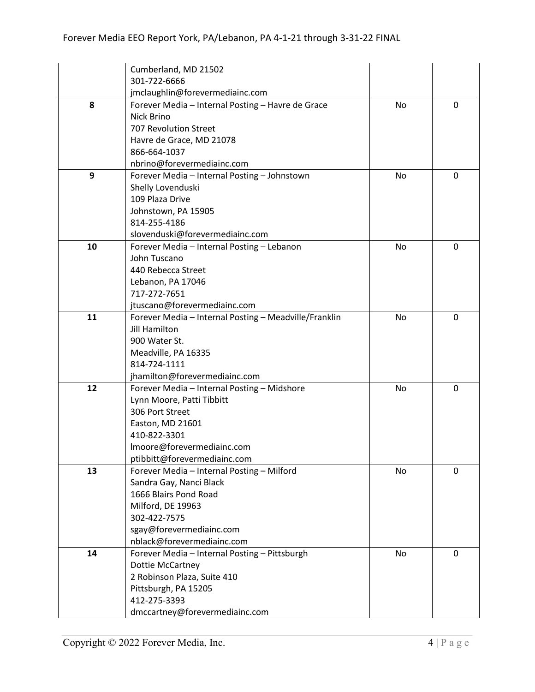|    | Cumberland, MD 21502                                  |    |             |
|----|-------------------------------------------------------|----|-------------|
|    | 301-722-6666                                          |    |             |
|    | jmclaughlin@forevermediainc.com                       |    |             |
| 8  | Forever Media - Internal Posting - Havre de Grace     | No | 0           |
|    | Nick Brino                                            |    |             |
|    | 707 Revolution Street                                 |    |             |
|    | Havre de Grace, MD 21078                              |    |             |
|    | 866-664-1037                                          |    |             |
|    | nbrino@forevermediainc.com                            |    |             |
| 9  | Forever Media - Internal Posting - Johnstown          | No | 0           |
|    | Shelly Lovenduski                                     |    |             |
|    | 109 Plaza Drive                                       |    |             |
|    | Johnstown, PA 15905                                   |    |             |
|    | 814-255-4186                                          |    |             |
|    | slovenduski@forevermediainc.com                       |    |             |
| 10 | Forever Media - Internal Posting - Lebanon            | No | 0           |
|    | John Tuscano                                          |    |             |
|    | 440 Rebecca Street                                    |    |             |
|    | Lebanon, PA 17046                                     |    |             |
|    | 717-272-7651                                          |    |             |
|    | jtuscano@forevermediainc.com                          |    |             |
| 11 | Forever Media - Internal Posting - Meadville/Franklin | No | $\mathbf 0$ |
|    | <b>Jill Hamilton</b>                                  |    |             |
|    | 900 Water St.                                         |    |             |
|    | Meadville, PA 16335                                   |    |             |
|    | 814-724-1111                                          |    |             |
|    | jhamilton@forevermediainc.com                         |    |             |
| 12 | Forever Media - Internal Posting - Midshore           | No | 0           |
|    | Lynn Moore, Patti Tibbitt                             |    |             |
|    | 306 Port Street                                       |    |             |
|    | Easton, MD 21601                                      |    |             |
|    | 410-822-3301                                          |    |             |
|    | Imoore@forevermediainc.com                            |    |             |
|    | ptibbitt@forevermediainc.com                          |    |             |
| 13 | Forever Media - Internal Posting - Milford            | No | 0           |
|    | Sandra Gay, Nanci Black                               |    |             |
|    | 1666 Blairs Pond Road                                 |    |             |
|    | Milford, DE 19963                                     |    |             |
|    | 302-422-7575                                          |    |             |
|    | sgay@forevermediainc.com                              |    |             |
|    | nblack@forevermediainc.com                            |    |             |
| 14 | Forever Media - Internal Posting - Pittsburgh         | No | 0           |
|    | <b>Dottie McCartney</b>                               |    |             |
|    | 2 Robinson Plaza, Suite 410                           |    |             |
|    | Pittsburgh, PA 15205                                  |    |             |
|    | 412-275-3393                                          |    |             |
|    | dmccartney@forevermediainc.com                        |    |             |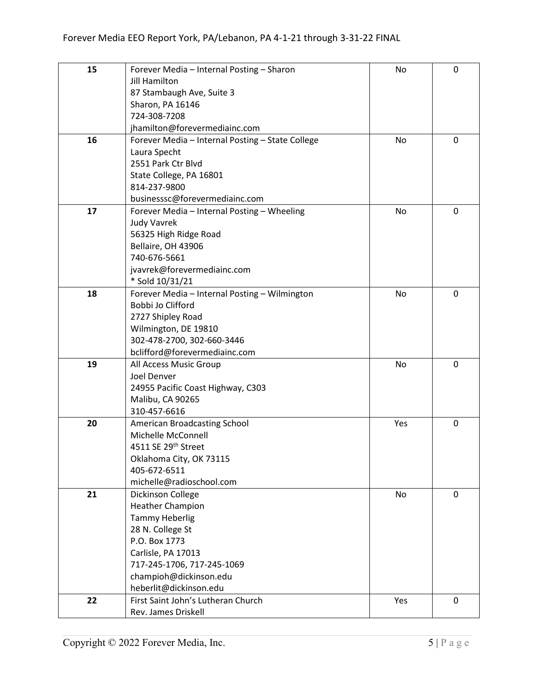| 15 | Forever Media - Internal Posting - Sharon        | No        | $\mathbf 0$ |
|----|--------------------------------------------------|-----------|-------------|
|    | <b>Jill Hamilton</b>                             |           |             |
|    | 87 Stambaugh Ave, Suite 3                        |           |             |
|    | Sharon, PA 16146                                 |           |             |
|    | 724-308-7208                                     |           |             |
|    | jhamilton@forevermediainc.com                    |           |             |
| 16 |                                                  | <b>No</b> | $\mathbf 0$ |
|    | Forever Media - Internal Posting - State College |           |             |
|    | Laura Specht                                     |           |             |
|    | 2551 Park Ctr Blvd                               |           |             |
|    | State College, PA 16801                          |           |             |
|    | 814-237-9800                                     |           |             |
|    | businesssc@forevermediainc.com                   |           |             |
| 17 | Forever Media - Internal Posting - Wheeling      | No        | $\mathbf 0$ |
|    | <b>Judy Vavrek</b>                               |           |             |
|    | 56325 High Ridge Road                            |           |             |
|    | Bellaire, OH 43906                               |           |             |
|    | 740-676-5661                                     |           |             |
|    | jvavrek@forevermediainc.com                      |           |             |
|    | * Sold 10/31/21                                  |           |             |
| 18 | Forever Media - Internal Posting - Wilmington    | No        | 0           |
|    | Bobbi Jo Clifford                                |           |             |
|    | 2727 Shipley Road                                |           |             |
|    | Wilmington, DE 19810                             |           |             |
|    | 302-478-2700, 302-660-3446                       |           |             |
|    | bclifford@forevermediainc.com                    |           |             |
| 19 | All Access Music Group                           | No        | $\mathbf 0$ |
|    | Joel Denver                                      |           |             |
|    | 24955 Pacific Coast Highway, C303                |           |             |
|    | Malibu, CA 90265                                 |           |             |
|    | 310-457-6616                                     |           |             |
| 20 | American Broadcasting School                     | Yes       | $\mathbf 0$ |
|    | Michelle McConnell                               |           |             |
|    | 4511 SE 29th Street                              |           |             |
|    | Oklahoma City, OK 73115                          |           |             |
|    | 405-672-6511                                     |           |             |
|    | michelle@radioschool.com                         |           |             |
| 21 | Dickinson College                                | No        | 0           |
|    | <b>Heather Champion</b>                          |           |             |
|    | <b>Tammy Heberlig</b>                            |           |             |
|    | 28 N. College St                                 |           |             |
|    | P.O. Box 1773                                    |           |             |
|    | Carlisle, PA 17013                               |           |             |
|    | 717-245-1706, 717-245-1069                       |           |             |
|    | champioh@dickinson.edu                           |           |             |
|    | heberlit@dickinson.edu                           |           |             |
|    |                                                  |           |             |
| 22 | First Saint John's Lutheran Church               | Yes       | 0           |
|    | Rev. James Driskell                              |           |             |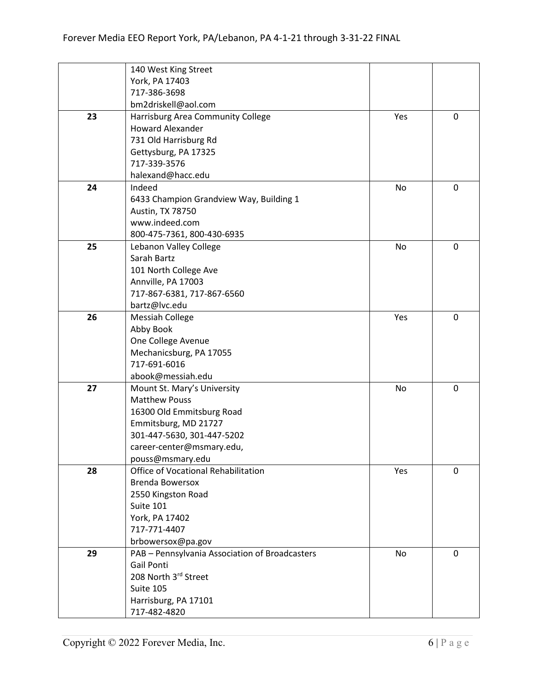|    | 140 West King Street                           |     |             |
|----|------------------------------------------------|-----|-------------|
|    | York, PA 17403                                 |     |             |
|    | 717-386-3698                                   |     |             |
|    | bm2driskell@aol.com                            |     |             |
| 23 | Harrisburg Area Community College              | Yes | $\mathbf 0$ |
|    | <b>Howard Alexander</b>                        |     |             |
|    | 731 Old Harrisburg Rd                          |     |             |
|    | Gettysburg, PA 17325                           |     |             |
|    | 717-339-3576                                   |     |             |
|    | halexand@hacc.edu                              |     |             |
| 24 | Indeed                                         | No  | $\mathbf 0$ |
|    | 6433 Champion Grandview Way, Building 1        |     |             |
|    | Austin, TX 78750                               |     |             |
|    | www.indeed.com                                 |     |             |
|    | 800-475-7361, 800-430-6935                     |     |             |
| 25 | Lebanon Valley College                         | No  | 0           |
|    | Sarah Bartz                                    |     |             |
|    | 101 North College Ave                          |     |             |
|    | Annville, PA 17003                             |     |             |
|    | 717-867-6381, 717-867-6560                     |     |             |
|    | bartz@lvc.edu                                  |     |             |
| 26 | <b>Messiah College</b>                         | Yes | 0           |
|    | Abby Book                                      |     |             |
|    | One College Avenue                             |     |             |
|    | Mechanicsburg, PA 17055                        |     |             |
|    | 717-691-6016                                   |     |             |
|    | abook@messiah.edu                              |     |             |
| 27 | Mount St. Mary's University                    | No  | 0           |
|    | <b>Matthew Pouss</b>                           |     |             |
|    | 16300 Old Emmitsburg Road                      |     |             |
|    | Emmitsburg, MD 21727                           |     |             |
|    | 301-447-5630, 301-447-5202                     |     |             |
|    | career-center@msmary.edu,                      |     |             |
|    | pouss@msmary.edu                               |     |             |
| 28 | Office of Vocational Rehabilitation            | Yes | 0           |
|    | <b>Brenda Bowersox</b>                         |     |             |
|    | 2550 Kingston Road                             |     |             |
|    | Suite 101                                      |     |             |
|    | York, PA 17402                                 |     |             |
|    | 717-771-4407                                   |     |             |
|    | brbowersox@pa.gov                              |     |             |
| 29 | PAB - Pennsylvania Association of Broadcasters | No  | 0           |
|    | Gail Ponti                                     |     |             |
|    | 208 North 3rd Street                           |     |             |
|    | Suite 105                                      |     |             |
|    | Harrisburg, PA 17101                           |     |             |
|    | 717-482-4820                                   |     |             |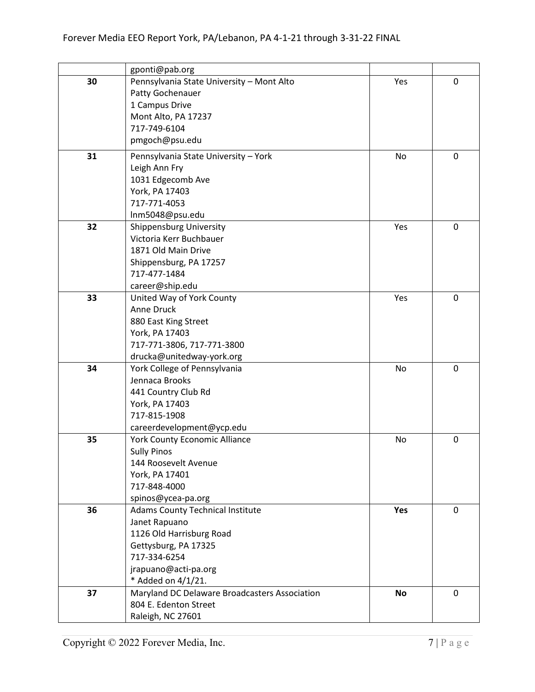|    | gponti@pab.org                                         |           |             |
|----|--------------------------------------------------------|-----------|-------------|
| 30 | Pennsylvania State University - Mont Alto              | Yes       | 0           |
|    | Patty Gochenauer                                       |           |             |
|    | 1 Campus Drive                                         |           |             |
|    | Mont Alto, PA 17237                                    |           |             |
|    | 717-749-6104                                           |           |             |
|    | pmgoch@psu.edu                                         |           |             |
| 31 | Pennsylvania State University - York                   | No        | 0           |
|    | Leigh Ann Fry                                          |           |             |
|    | 1031 Edgecomb Ave                                      |           |             |
|    | York, PA 17403                                         |           |             |
|    | 717-771-4053                                           |           |             |
|    | Inm5048@psu.edu                                        |           |             |
| 32 | <b>Shippensburg University</b>                         | Yes       | 0           |
|    | Victoria Kerr Buchbauer                                |           |             |
|    | 1871 Old Main Drive                                    |           |             |
|    | Shippensburg, PA 17257                                 |           |             |
|    | 717-477-1484                                           |           |             |
|    | career@ship.edu                                        |           |             |
| 33 | United Way of York County                              | Yes       | $\mathbf 0$ |
|    | Anne Druck                                             |           |             |
|    | 880 East King Street                                   |           |             |
|    | York, PA 17403                                         |           |             |
|    | 717-771-3806, 717-771-3800                             |           |             |
|    | drucka@unitedway-york.org                              |           |             |
| 34 | York College of Pennsylvania                           | No        | 0           |
|    | Jennaca Brooks                                         |           |             |
|    | 441 Country Club Rd                                    |           |             |
|    | York, PA 17403                                         |           |             |
|    | 717-815-1908                                           |           |             |
|    | careerdevelopment@ycp.edu                              |           |             |
| 35 | <b>York County Economic Alliance</b>                   | No        | $\mathbf 0$ |
|    | <b>Sully Pinos</b>                                     |           |             |
|    | 144 Roosevelt Avenue                                   |           |             |
|    | York, PA 17401                                         |           |             |
|    | 717-848-4000                                           |           |             |
| 36 | spinos@ycea-pa.org<br>Adams County Technical Institute | Yes       | 0           |
|    | Janet Rapuano                                          |           |             |
|    | 1126 Old Harrisburg Road                               |           |             |
|    | Gettysburg, PA 17325                                   |           |             |
|    | 717-334-6254                                           |           |             |
|    | jrapuano@acti-pa.org                                   |           |             |
|    | * Added on 4/1/21.                                     |           |             |
| 37 | Maryland DC Delaware Broadcasters Association          | <b>No</b> | $\mathbf 0$ |
|    | 804 E. Edenton Street                                  |           |             |
|    | Raleigh, NC 27601                                      |           |             |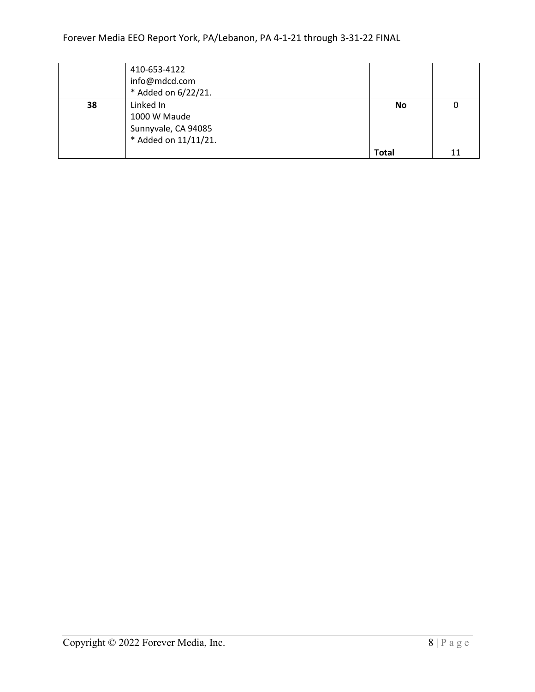|    | 410-653-4122<br>info@mdcd.com<br>* Added on 6/22/21.                     |           |    |
|----|--------------------------------------------------------------------------|-----------|----|
| 38 | Linked In<br>1000 W Maude<br>Sunnyvale, CA 94085<br>* Added on 11/11/21. | <b>No</b> |    |
|    |                                                                          | Total     | 11 |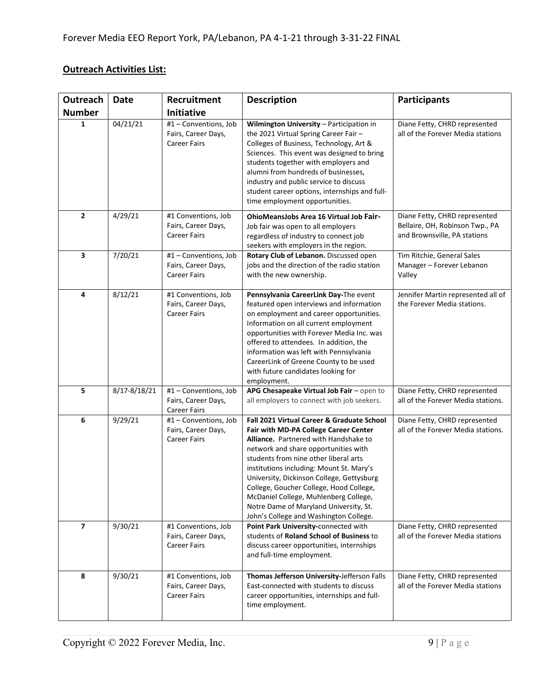## **Outreach Activities List:**

| Outreach                 | <b>Date</b>  | Recruitment                                                         | <b>Description</b>                                                                                                                                                                                                                                                                                                                                                                                                                                                                    | <b>Participants</b>                                                                              |
|--------------------------|--------------|---------------------------------------------------------------------|---------------------------------------------------------------------------------------------------------------------------------------------------------------------------------------------------------------------------------------------------------------------------------------------------------------------------------------------------------------------------------------------------------------------------------------------------------------------------------------|--------------------------------------------------------------------------------------------------|
| <b>Number</b>            |              | Initiative                                                          |                                                                                                                                                                                                                                                                                                                                                                                                                                                                                       |                                                                                                  |
| 1                        | 04/21/21     | #1 - Conventions, Job<br>Fairs, Career Days,<br><b>Career Fairs</b> | Wilmington University - Participation in<br>the 2021 Virtual Spring Career Fair -<br>Colleges of Business, Technology, Art &<br>Sciences. This event was designed to bring<br>students together with employers and<br>alumni from hundreds of businesses,<br>industry and public service to discuss<br>student career options, internships and full-<br>time employment opportunities.                                                                                                | Diane Fetty, CHRD represented<br>all of the Forever Media stations                               |
| $\overline{2}$           | 4/29/21      | #1 Conventions, Job<br>Fairs, Career Days,<br><b>Career Fairs</b>   | <b>OhioMeansJobs Area 16 Virtual Job Fair-</b><br>Job fair was open to all employers<br>regardless of industry to connect job<br>seekers with employers in the region.                                                                                                                                                                                                                                                                                                                | Diane Fetty, CHRD represented<br>Bellaire, OH, Robinson Twp., PA<br>and Brownsville, PA stations |
| 3                        | 7/20/21      | #1 - Conventions, Job<br>Fairs, Career Days,<br><b>Career Fairs</b> | Rotary Club of Lebanon. Discussed open<br>jobs and the direction of the radio station<br>with the new ownership.                                                                                                                                                                                                                                                                                                                                                                      | Tim Ritchie, General Sales<br>Manager - Forever Lebanon<br>Valley                                |
| 4                        | 8/12/21      | #1 Conventions, Job<br>Fairs, Career Days,<br><b>Career Fairs</b>   | Pennsylvania CareerLink Day-The event<br>featured open interviews and information<br>on employment and career opportunities.<br>Information on all current employment<br>opportunities with Forever Media Inc. was<br>offered to attendees. In addition, the<br>information was left with Pennsylvania<br>CareerLink of Greene County to be used<br>with future candidates looking for<br>employment.                                                                                 | Jennifer Martin represented all of<br>the Forever Media stations.                                |
| 5                        | 8/17-8/18/21 | #1 - Conventions, Job<br>Fairs, Career Days,<br><b>Career Fairs</b> | APG Chesapeake Virtual Job Fair - open to<br>all employers to connect with job seekers.                                                                                                                                                                                                                                                                                                                                                                                               | Diane Fetty, CHRD represented<br>all of the Forever Media stations.                              |
| 6                        | 9/29/21      | #1 - Conventions, Job<br>Fairs, Career Days,<br><b>Career Fairs</b> | Fall 2021 Virtual Career & Graduate School<br><b>Fair with MD-PA College Career Center</b><br>Alliance. Partnered with Handshake to<br>network and share opportunities with<br>students from nine other liberal arts<br>institutions including: Mount St. Mary's<br>University, Dickinson College, Gettysburg<br>College, Goucher College, Hood College,<br>McDaniel College, Muhlenberg College,<br>Notre Dame of Maryland University, St.<br>John's College and Washington College. | Diane Fetty, CHRD represented<br>all of the Forever Media stations.                              |
| $\overline{\phantom{a}}$ | 9/30/21      | #1 Conventions, Job<br>Fairs, Career Days,<br><b>Career Fairs</b>   | Point Park University-connected with<br>students of Roland School of Business to<br>discuss career opportunities, internships<br>and full-time employment.                                                                                                                                                                                                                                                                                                                            | Diane Fetty, CHRD represented<br>all of the Forever Media stations                               |
| 8                        | 9/30/21      | #1 Conventions, Job<br>Fairs, Career Days,<br><b>Career Fairs</b>   | Thomas Jefferson University-Jefferson Falls<br>East-connected with students to discuss<br>career opportunities, internships and full-<br>time employment.                                                                                                                                                                                                                                                                                                                             | Diane Fetty, CHRD represented<br>all of the Forever Media stations                               |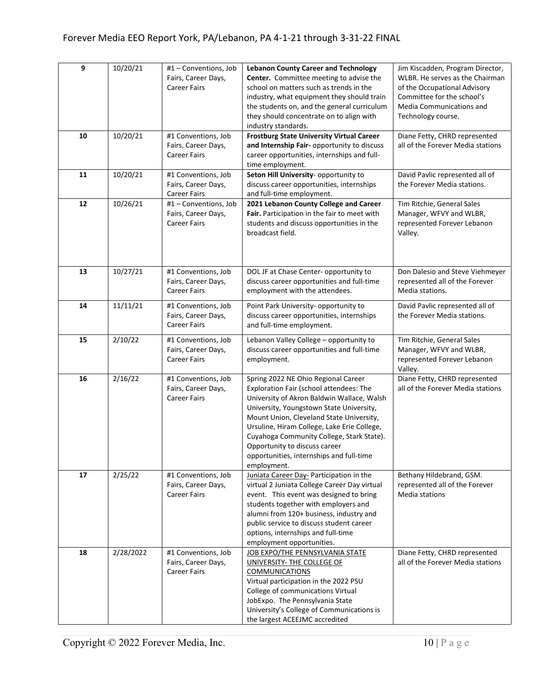| $\boldsymbol{9}$ | 10/20/21  | #1 - Conventions, Job<br>Fairs, Career Days,<br><b>Career Fairs</b> | <b>Lebanon County Career and Technology</b><br>Center. Committee meeting to advise the<br>school on matters such as trends in the<br>industry, what equipment they should train<br>the students on, and the general curriculum<br>they should concentrate on to align with<br>industry standards.                                                                                                            | Jim Kiscadden, Program Director,<br>WLBR. He serves as the Chairman<br>of the Occupational Advisory<br>Committee for the school's<br>Media Communications and<br>Technology course. |
|------------------|-----------|---------------------------------------------------------------------|--------------------------------------------------------------------------------------------------------------------------------------------------------------------------------------------------------------------------------------------------------------------------------------------------------------------------------------------------------------------------------------------------------------|-------------------------------------------------------------------------------------------------------------------------------------------------------------------------------------|
| 10               | 10/20/21  | #1 Conventions, Job<br>Fairs, Career Days,<br><b>Career Fairs</b>   | <b>Frostburg State University Virtual Career</b><br>and Internship Fair- opportunity to discuss<br>career opportunities, internships and full-<br>time employment.                                                                                                                                                                                                                                           | Diane Fetty, CHRD represented<br>all of the Forever Media stations                                                                                                                  |
| 11               | 10/20/21  | #1 Conventions, Job<br>Fairs, Career Days,<br><b>Career Fairs</b>   | Seton Hill University- opportunity to<br>discuss career opportunities, internships<br>and full-time employment.                                                                                                                                                                                                                                                                                              | David Pavlic represented all of<br>the Forever Media stations.                                                                                                                      |
| 12               | 10/26/21  | #1 - Conventions, Job<br>Fairs, Career Days,<br><b>Career Fairs</b> | 2021 Lebanon County College and Career<br>Fair. Participation in the fair to meet with<br>students and discuss opportunities in the<br>broadcast field.                                                                                                                                                                                                                                                      | Tim Ritchie, General Sales<br>Manager, WFVY and WLBR,<br>represented Forever Lebanon<br>Valley.                                                                                     |
| 13               | 10/27/21  | #1 Conventions, Job<br>Fairs, Career Days,<br><b>Career Fairs</b>   | DOL JF at Chase Center- opportunity to<br>discuss career opportunities and full-time<br>employment with the attendees.                                                                                                                                                                                                                                                                                       | Don Dalesio and Steve Viehmeyer<br>represented all of the Forever<br>Media stations.                                                                                                |
| 14               | 11/11/21  | #1 Conventions, Job<br>Fairs, Career Days,<br><b>Career Fairs</b>   | Point Park University- opportunity to<br>discuss career opportunities, internships<br>and full-time employment.                                                                                                                                                                                                                                                                                              | David Pavlic represented all of<br>the Forever Media stations.                                                                                                                      |
| 15               | 2/10/22   | #1 Conventions, Job<br>Fairs, Career Days,<br><b>Career Fairs</b>   | Lebanon Valley College - opportunity to<br>discuss career opportunities and full-time<br>employment.                                                                                                                                                                                                                                                                                                         | Tim Ritchie, General Sales<br>Manager, WFVY and WLBR,<br>represented Forever Lebanon<br>Valley.                                                                                     |
| 16               | 2/16/22   | #1 Conventions, Job<br>Fairs, Career Days,<br><b>Career Fairs</b>   | Spring 2022 NE Ohio Regional Career<br>Exploration Fair (school attendees: The<br>University of Akron Baldwin Wallace, Walsh<br>University, Youngstown State University,<br>Mount Union, Cleveland State University,<br>Ursuline, Hiram College, Lake Erie College,<br>Cuyahoga Community College, Stark State).<br>Opportunity to discuss career<br>opportunities, internships and full-time<br>employment. | Diane Fetty, CHRD represented<br>all of the Forever Media stations                                                                                                                  |
| 17               | 2/25/22   | #1 Conventions, Job<br>Fairs, Career Days,<br><b>Career Fairs</b>   | Juniata Career Day- Participation in the<br>virtual 2 Juniata College Career Day virtual<br>event. This event was designed to bring<br>students together with employers and<br>alumni from 120+ business, industry and<br>public service to discuss student career<br>options, internships and full-time<br>employment opportunities.                                                                        | Bethany Hildebrand, GSM.<br>represented all of the Forever<br>Media stations                                                                                                        |
| 18               | 2/28/2022 | #1 Conventions, Job<br>Fairs, Career Days,<br><b>Career Fairs</b>   | JOB EXPO/THE PENNSYLVANIA STATE<br>UNIVERSITY- THE COLLEGE OF<br><b>COMMUNICATIONS</b><br>Virtual participation in the 2022 PSU<br>College of communications Virtual<br>JobExpo. The Pennsylvania State<br>University's College of Communications is<br>the largest ACEEJMC accredited                                                                                                                       | Diane Fetty, CHRD represented<br>all of the Forever Media stations                                                                                                                  |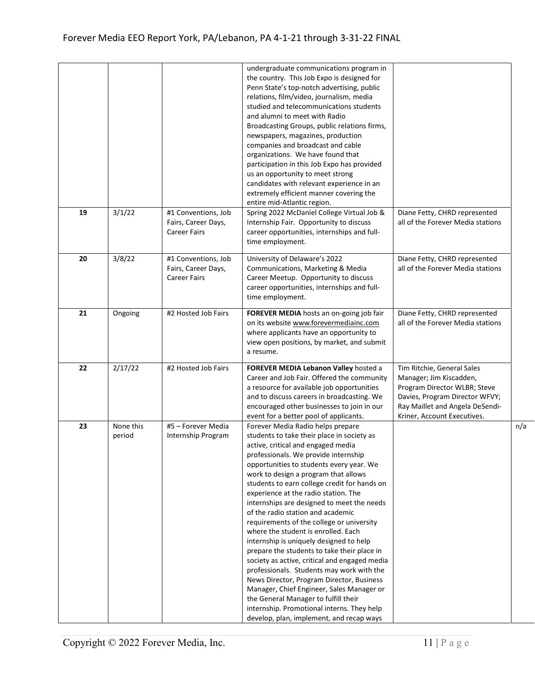|    |                     |                                                                   | undergraduate communications program in<br>the country. This Job Expo is designed for<br>Penn State's top-notch advertising, public<br>relations, film/video, journalism, media<br>studied and telecommunications students<br>and alumni to meet with Radio<br>Broadcasting Groups, public relations firms,<br>newspapers, magazines, production<br>companies and broadcast and cable<br>organizations. We have found that<br>participation in this Job Expo has provided<br>us an opportunity to meet strong<br>candidates with relevant experience in an<br>extremely efficient manner covering the<br>entire mid-Atlantic region.                                                                                                                                                                                                                                                                                                 |                                                                                                                                                                                           |     |
|----|---------------------|-------------------------------------------------------------------|--------------------------------------------------------------------------------------------------------------------------------------------------------------------------------------------------------------------------------------------------------------------------------------------------------------------------------------------------------------------------------------------------------------------------------------------------------------------------------------------------------------------------------------------------------------------------------------------------------------------------------------------------------------------------------------------------------------------------------------------------------------------------------------------------------------------------------------------------------------------------------------------------------------------------------------|-------------------------------------------------------------------------------------------------------------------------------------------------------------------------------------------|-----|
| 19 | 3/1/22              | #1 Conventions, Job<br>Fairs, Career Days,<br><b>Career Fairs</b> | Spring 2022 McDaniel College Virtual Job &<br>Internship Fair. Opportunity to discuss<br>career opportunities, internships and full-<br>time employment.                                                                                                                                                                                                                                                                                                                                                                                                                                                                                                                                                                                                                                                                                                                                                                             | Diane Fetty, CHRD represented<br>all of the Forever Media stations                                                                                                                        |     |
| 20 | 3/8/22              | #1 Conventions, Job<br>Fairs, Career Days,<br><b>Career Fairs</b> | University of Delaware's 2022<br>Communications, Marketing & Media<br>Career Meetup. Opportunity to discuss<br>career opportunities, internships and full-<br>time employment.                                                                                                                                                                                                                                                                                                                                                                                                                                                                                                                                                                                                                                                                                                                                                       | Diane Fetty, CHRD represented<br>all of the Forever Media stations                                                                                                                        |     |
| 21 | Ongoing             | #2 Hosted Job Fairs                                               | FOREVER MEDIA hosts an on-going job fair<br>on its website www.forevermediainc.com<br>where applicants have an opportunity to<br>view open positions, by market, and submit<br>a resume.                                                                                                                                                                                                                                                                                                                                                                                                                                                                                                                                                                                                                                                                                                                                             | Diane Fetty, CHRD represented<br>all of the Forever Media stations                                                                                                                        |     |
| 22 | 2/17/22             | #2 Hosted Job Fairs                                               | FOREVER MEDIA Lebanon Valley hosted a<br>Career and Job Fair. Offered the community<br>a resource for available job opportunities<br>and to discuss careers in broadcasting. We<br>encouraged other businesses to join in our<br>event for a better pool of applicants.                                                                                                                                                                                                                                                                                                                                                                                                                                                                                                                                                                                                                                                              | Tim Ritchie, General Sales<br>Manager; Jim Kiscadden,<br>Program Director WLBR; Steve<br>Davies, Program Director WFVY;<br>Ray Maillet and Angela DeSendi-<br>Kriner, Account Executives. |     |
| 23 | None this<br>period | #5 - Forever Media<br>Internship Program                          | Forever Media Radio helps prepare<br>students to take their place in society as<br>active, critical and engaged media<br>professionals. We provide internship<br>opportunities to students every year. We<br>work to design a program that allows<br>students to earn college credit for hands on<br>experience at the radio station. The<br>internships are designed to meet the needs<br>of the radio station and academic<br>requirements of the college or university<br>where the student is enrolled. Each<br>internship is uniquely designed to help<br>prepare the students to take their place in<br>society as active, critical and engaged media<br>professionals. Students may work with the<br>News Director, Program Director, Business<br>Manager, Chief Engineer, Sales Manager or<br>the General Manager to fulfill their<br>internship. Promotional interns. They help<br>develop, plan, implement, and recap ways |                                                                                                                                                                                           | n/a |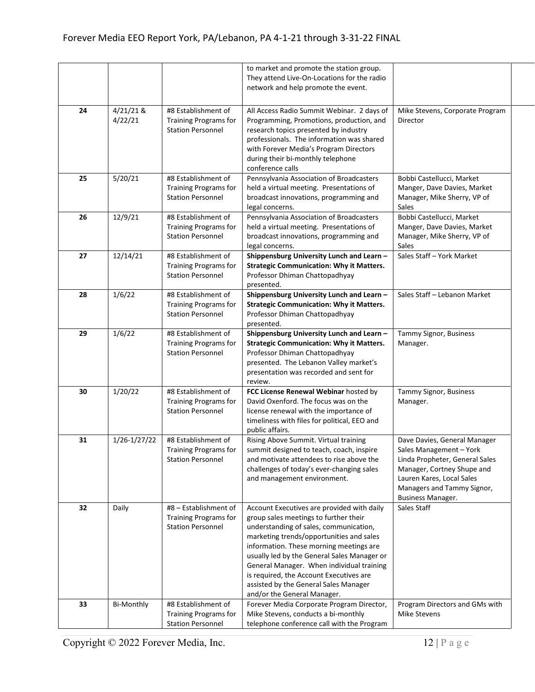|    |                      |                                                                                   | to market and promote the station group.<br>They attend Live-On-Locations for the radio<br>network and help promote the event.                                                                                                                                                                                                                                                                                                      |                                                                                                                                                                                                         |
|----|----------------------|-----------------------------------------------------------------------------------|-------------------------------------------------------------------------------------------------------------------------------------------------------------------------------------------------------------------------------------------------------------------------------------------------------------------------------------------------------------------------------------------------------------------------------------|---------------------------------------------------------------------------------------------------------------------------------------------------------------------------------------------------------|
| 24 | 4/21/21 &<br>4/22/21 | #8 Establishment of<br><b>Training Programs for</b><br><b>Station Personnel</b>   | All Access Radio Summit Webinar. 2 days of<br>Programming, Promotions, production, and<br>research topics presented by industry<br>professionals. The information was shared<br>with Forever Media's Program Directors                                                                                                                                                                                                              | Mike Stevens, Corporate Program<br>Director                                                                                                                                                             |
| 25 | 5/20/21              | #8 Establishment of<br><b>Training Programs for</b><br><b>Station Personnel</b>   | during their bi-monthly telephone<br>conference calls<br>Pennsylvania Association of Broadcasters<br>held a virtual meeting. Presentations of<br>broadcast innovations, programming and                                                                                                                                                                                                                                             | Bobbi Castellucci, Market<br>Manger, Dave Davies, Market<br>Manager, Mike Sherry, VP of                                                                                                                 |
| 26 | 12/9/21              | #8 Establishment of<br><b>Training Programs for</b><br><b>Station Personnel</b>   | legal concerns.<br>Pennsylvania Association of Broadcasters<br>held a virtual meeting. Presentations of<br>broadcast innovations, programming and<br>legal concerns.                                                                                                                                                                                                                                                                | Sales<br>Bobbi Castellucci, Market<br>Manger, Dave Davies, Market<br>Manager, Mike Sherry, VP of<br>Sales                                                                                               |
| 27 | 12/14/21             | #8 Establishment of<br><b>Training Programs for</b><br><b>Station Personnel</b>   | Shippensburg University Lunch and Learn -<br><b>Strategic Communication: Why it Matters.</b><br>Professor Dhiman Chattopadhyay<br>presented.                                                                                                                                                                                                                                                                                        | Sales Staff - York Market                                                                                                                                                                               |
| 28 | 1/6/22               | #8 Establishment of<br><b>Training Programs for</b><br><b>Station Personnel</b>   | Shippensburg University Lunch and Learn -<br><b>Strategic Communication: Why it Matters.</b><br>Professor Dhiman Chattopadhyay<br>presented.                                                                                                                                                                                                                                                                                        | Sales Staff - Lebanon Market                                                                                                                                                                            |
| 29 | 1/6/22               | #8 Establishment of<br><b>Training Programs for</b><br><b>Station Personnel</b>   | Shippensburg University Lunch and Learn -<br><b>Strategic Communication: Why it Matters.</b><br>Professor Dhiman Chattopadhyay<br>presented. The Lebanon Valley market's<br>presentation was recorded and sent for<br>review.                                                                                                                                                                                                       | Tammy Signor, Business<br>Manager.                                                                                                                                                                      |
| 30 | 1/20/22              | #8 Establishment of<br><b>Training Programs for</b><br><b>Station Personnel</b>   | FCC License Renewal Webinar hosted by<br>David Oxenford. The focus was on the<br>license renewal with the importance of<br>timeliness with files for political, EEO and<br>public affairs.                                                                                                                                                                                                                                          | Tammy Signor, Business<br>Manager.                                                                                                                                                                      |
| 31 | 1/26-1/27/22         | #8 Establishment of<br><b>Training Programs for</b><br><b>Station Personnel</b>   | Rising Above Summit. Virtual training<br>summit designed to teach, coach, inspire<br>and motivate attendees to rise above the<br>challenges of today's ever-changing sales<br>and management environment.                                                                                                                                                                                                                           | Dave Davies, General Manager<br>Sales Management - York<br>Linda Propheter, General Sales<br>Manager, Cortney Shupe and<br>Lauren Kares, Local Sales<br>Managers and Tammy Signor,<br>Business Manager. |
| 32 | Daily                | #8 - Establishment of<br><b>Training Programs for</b><br><b>Station Personnel</b> | Account Executives are provided with daily<br>group sales meetings to further their<br>understanding of sales, communication,<br>marketing trends/opportunities and sales<br>information. These morning meetings are<br>usually led by the General Sales Manager or<br>General Manager. When individual training<br>is required, the Account Executives are<br>assisted by the General Sales Manager<br>and/or the General Manager. | Sales Staff                                                                                                                                                                                             |
| 33 | <b>Bi-Monthly</b>    | #8 Establishment of<br><b>Training Programs for</b><br><b>Station Personnel</b>   | Forever Media Corporate Program Director,<br>Mike Stevens, conducts a bi-monthly<br>telephone conference call with the Program                                                                                                                                                                                                                                                                                                      | Program Directors and GMs with<br><b>Mike Stevens</b>                                                                                                                                                   |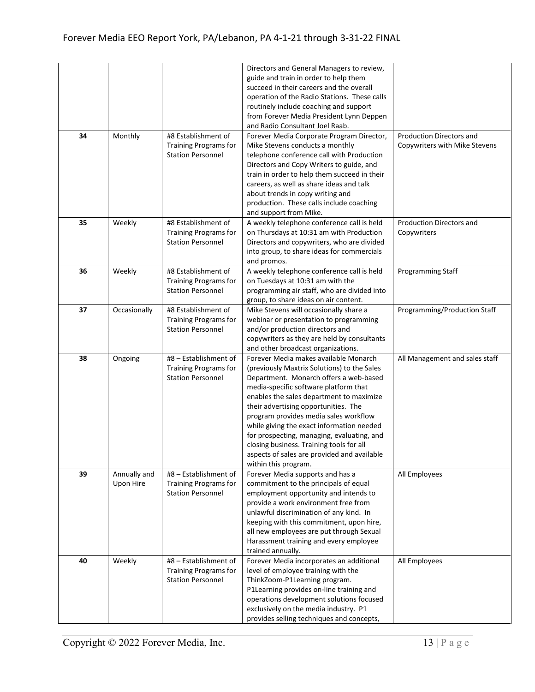|    |                           |                                                                                 | Directors and General Managers to review,<br>guide and train in order to help them<br>succeed in their careers and the overall<br>operation of the Radio Stations. These calls<br>routinely include coaching and support<br>from Forever Media President Lynn Deppen<br>and Radio Consultant Joel Raab.                                                                                                                                                                                                            |                                                                  |
|----|---------------------------|---------------------------------------------------------------------------------|--------------------------------------------------------------------------------------------------------------------------------------------------------------------------------------------------------------------------------------------------------------------------------------------------------------------------------------------------------------------------------------------------------------------------------------------------------------------------------------------------------------------|------------------------------------------------------------------|
| 34 | Monthly                   | #8 Establishment of<br><b>Training Programs for</b><br><b>Station Personnel</b> | Forever Media Corporate Program Director,<br>Mike Stevens conducts a monthly<br>telephone conference call with Production<br>Directors and Copy Writers to guide, and<br>train in order to help them succeed in their<br>careers, as well as share ideas and talk<br>about trends in copy writing and<br>production. These calls include coaching<br>and support from Mike.                                                                                                                                        | <b>Production Directors and</b><br>Copywriters with Mike Stevens |
| 35 | Weekly                    | #8 Establishment of<br>Training Programs for<br><b>Station Personnel</b>        | A weekly telephone conference call is held<br>on Thursdays at 10:31 am with Production<br>Directors and copywriters, who are divided<br>into group, to share ideas for commercials<br>and promos.                                                                                                                                                                                                                                                                                                                  | Production Directors and<br>Copywriters                          |
| 36 | Weekly                    | #8 Establishment of<br><b>Training Programs for</b><br><b>Station Personnel</b> | A weekly telephone conference call is held<br>on Tuesdays at 10:31 am with the<br>programming air staff, who are divided into<br>group, to share ideas on air content.                                                                                                                                                                                                                                                                                                                                             | Programming Staff                                                |
| 37 | Occasionally              | #8 Establishment of<br><b>Training Programs for</b><br><b>Station Personnel</b> | Mike Stevens will occasionally share a<br>webinar or presentation to programming<br>and/or production directors and<br>copywriters as they are held by consultants<br>and other broadcast organizations.                                                                                                                                                                                                                                                                                                           | Programming/Production Staff                                     |
| 38 | Ongoing                   | #8 - Establishment of<br>Training Programs for<br><b>Station Personnel</b>      | Forever Media makes available Monarch<br>(previously Maxtrix Solutions) to the Sales<br>Department. Monarch offers a web-based<br>media-specific software platform that<br>enables the sales department to maximize<br>their advertising opportunities. The<br>program provides media sales workflow<br>while giving the exact information needed<br>for prospecting, managing, evaluating, and<br>closing business. Training tools for all<br>aspects of sales are provided and available<br>within this program. | All Management and sales staff                                   |
| 39 | Annually and<br>Upon Hire | #8 - Establishment of<br>Training Programs for<br><b>Station Personnel</b>      | Forever Media supports and has a<br>commitment to the principals of equal<br>employment opportunity and intends to<br>provide a work environment free from<br>unlawful discrimination of any kind. In<br>keeping with this commitment, upon hire,<br>all new employees are put through Sexual<br>Harassment training and every employee<br>trained annually.                                                                                                                                                       | All Employees                                                    |
| 40 | Weekly                    | #8 - Establishment of<br>Training Programs for<br><b>Station Personnel</b>      | Forever Media incorporates an additional<br>level of employee training with the<br>ThinkZoom-P1Learning program.<br>P1Learning provides on-line training and<br>operations development solutions focused<br>exclusively on the media industry. P1<br>provides selling techniques and concepts,                                                                                                                                                                                                                     | All Employees                                                    |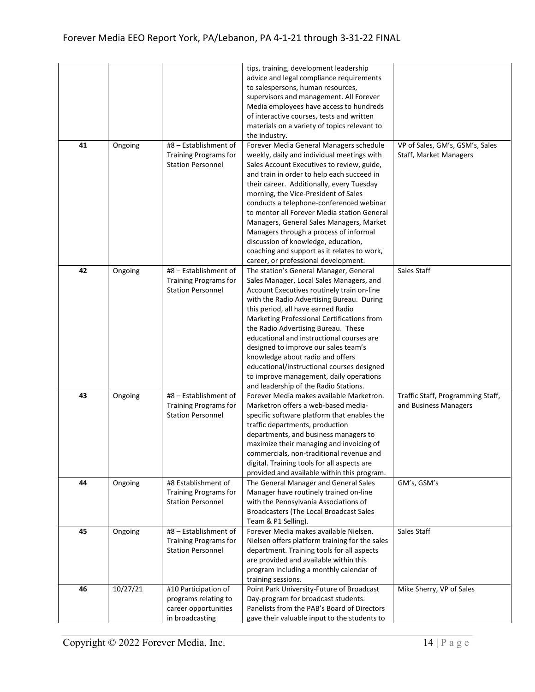| tips, training, development leadership<br>advice and legal compliance requirements<br>to salespersons, human resources,<br>supervisors and management. All Forever<br>Media employees have access to hundreds<br>of interactive courses, tests and written<br>materials on a variety of topics relevant to<br>the industry.<br>41<br>#8 - Establishment of<br>Forever Media General Managers schedule<br>Ongoing<br>VP of Sales, GM's, GSM's, Sales<br><b>Training Programs for</b><br>weekly, daily and individual meetings with<br>Staff, Market Managers<br><b>Station Personnel</b><br>Sales Account Executives to review, guide,<br>and train in order to help each succeed in<br>their career. Additionally, every Tuesday<br>morning, the Vice-President of Sales<br>conducts a telephone-conferenced webinar<br>to mentor all Forever Media station General<br>Managers, General Sales Managers, Market<br>Managers through a process of informal<br>discussion of knowledge, education,<br>coaching and support as it relates to work,<br>career, or professional development.<br>#8 - Establishment of<br>42<br>The station's General Manager, General<br>Sales Staff<br>Ongoing<br>Training Programs for<br>Sales Manager, Local Sales Managers, and<br><b>Station Personnel</b><br>Account Executives routinely train on-line<br>with the Radio Advertising Bureau. During<br>this period, all have earned Radio<br>Marketing Professional Certifications from<br>the Radio Advertising Bureau. These<br>educational and instructional courses are<br>designed to improve our sales team's<br>knowledge about radio and offers<br>educational/instructional courses designed<br>to improve management, daily operations<br>and leadership of the Radio Stations.<br>#8 - Establishment of<br>43<br>Forever Media makes available Marketron.<br>Traffic Staff, Programming Staff,<br>Ongoing<br>Marketron offers a web-based media-<br>Training Programs for<br>and Business Managers<br><b>Station Personnel</b><br>specific software platform that enables the<br>traffic departments, production<br>departments, and business managers to<br>maximize their managing and invoicing of<br>commercials, non-traditional revenue and<br>digital. Training tools for all aspects are<br>provided and available within this program.<br>GM's, GSM's<br>#8 Establishment of<br>The General Manager and General Sales<br>44<br>Ongoing<br>Manager have routinely trained on-line<br><b>Training Programs for</b><br><b>Station Personnel</b><br>with the Pennsylvania Associations of<br>Broadcasters (The Local Broadcast Sales<br>Team & P1 Selling).<br>Forever Media makes available Nielsen.<br>#8 - Establishment of<br>Sales Staff<br>45<br>Ongoing<br>Nielsen offers platform training for the sales<br>Training Programs for<br>department. Training tools for all aspects<br><b>Station Personnel</b><br>are provided and available within this<br>program including a monthly calendar of<br>training sessions.<br>10/27/21<br>46<br>#10 Participation of<br>Point Park University-Future of Broadcast<br>Mike Sherry, VP of Sales<br>Day-program for broadcast students.<br>programs relating to<br>career opportunities<br>Panelists from the PAB's Board of Directors |  |                 |                                              |  |
|--------------------------------------------------------------------------------------------------------------------------------------------------------------------------------------------------------------------------------------------------------------------------------------------------------------------------------------------------------------------------------------------------------------------------------------------------------------------------------------------------------------------------------------------------------------------------------------------------------------------------------------------------------------------------------------------------------------------------------------------------------------------------------------------------------------------------------------------------------------------------------------------------------------------------------------------------------------------------------------------------------------------------------------------------------------------------------------------------------------------------------------------------------------------------------------------------------------------------------------------------------------------------------------------------------------------------------------------------------------------------------------------------------------------------------------------------------------------------------------------------------------------------------------------------------------------------------------------------------------------------------------------------------------------------------------------------------------------------------------------------------------------------------------------------------------------------------------------------------------------------------------------------------------------------------------------------------------------------------------------------------------------------------------------------------------------------------------------------------------------------------------------------------------------------------------------------------------------------------------------------------------------------------------------------------------------------------------------------------------------------------------------------------------------------------------------------------------------------------------------------------------------------------------------------------------------------------------------------------------------------------------------------------------------------------------------------------------------------------------------------------------------------------------------------------------------------------------------------------------------------------------------------------------------------------------------------------------------------------------------------------------------------------------------------------------------------------------------------------------------------------------------------------------------------------------------------------------------------------------------------------------------------------------------|--|-----------------|----------------------------------------------|--|
|                                                                                                                                                                                                                                                                                                                                                                                                                                                                                                                                                                                                                                                                                                                                                                                                                                                                                                                                                                                                                                                                                                                                                                                                                                                                                                                                                                                                                                                                                                                                                                                                                                                                                                                                                                                                                                                                                                                                                                                                                                                                                                                                                                                                                                                                                                                                                                                                                                                                                                                                                                                                                                                                                                                                                                                                                                                                                                                                                                                                                                                                                                                                                                                                                                                                                            |  |                 |                                              |  |
|                                                                                                                                                                                                                                                                                                                                                                                                                                                                                                                                                                                                                                                                                                                                                                                                                                                                                                                                                                                                                                                                                                                                                                                                                                                                                                                                                                                                                                                                                                                                                                                                                                                                                                                                                                                                                                                                                                                                                                                                                                                                                                                                                                                                                                                                                                                                                                                                                                                                                                                                                                                                                                                                                                                                                                                                                                                                                                                                                                                                                                                                                                                                                                                                                                                                                            |  |                 |                                              |  |
|                                                                                                                                                                                                                                                                                                                                                                                                                                                                                                                                                                                                                                                                                                                                                                                                                                                                                                                                                                                                                                                                                                                                                                                                                                                                                                                                                                                                                                                                                                                                                                                                                                                                                                                                                                                                                                                                                                                                                                                                                                                                                                                                                                                                                                                                                                                                                                                                                                                                                                                                                                                                                                                                                                                                                                                                                                                                                                                                                                                                                                                                                                                                                                                                                                                                                            |  |                 |                                              |  |
|                                                                                                                                                                                                                                                                                                                                                                                                                                                                                                                                                                                                                                                                                                                                                                                                                                                                                                                                                                                                                                                                                                                                                                                                                                                                                                                                                                                                                                                                                                                                                                                                                                                                                                                                                                                                                                                                                                                                                                                                                                                                                                                                                                                                                                                                                                                                                                                                                                                                                                                                                                                                                                                                                                                                                                                                                                                                                                                                                                                                                                                                                                                                                                                                                                                                                            |  |                 |                                              |  |
|                                                                                                                                                                                                                                                                                                                                                                                                                                                                                                                                                                                                                                                                                                                                                                                                                                                                                                                                                                                                                                                                                                                                                                                                                                                                                                                                                                                                                                                                                                                                                                                                                                                                                                                                                                                                                                                                                                                                                                                                                                                                                                                                                                                                                                                                                                                                                                                                                                                                                                                                                                                                                                                                                                                                                                                                                                                                                                                                                                                                                                                                                                                                                                                                                                                                                            |  |                 |                                              |  |
|                                                                                                                                                                                                                                                                                                                                                                                                                                                                                                                                                                                                                                                                                                                                                                                                                                                                                                                                                                                                                                                                                                                                                                                                                                                                                                                                                                                                                                                                                                                                                                                                                                                                                                                                                                                                                                                                                                                                                                                                                                                                                                                                                                                                                                                                                                                                                                                                                                                                                                                                                                                                                                                                                                                                                                                                                                                                                                                                                                                                                                                                                                                                                                                                                                                                                            |  |                 |                                              |  |
|                                                                                                                                                                                                                                                                                                                                                                                                                                                                                                                                                                                                                                                                                                                                                                                                                                                                                                                                                                                                                                                                                                                                                                                                                                                                                                                                                                                                                                                                                                                                                                                                                                                                                                                                                                                                                                                                                                                                                                                                                                                                                                                                                                                                                                                                                                                                                                                                                                                                                                                                                                                                                                                                                                                                                                                                                                                                                                                                                                                                                                                                                                                                                                                                                                                                                            |  |                 |                                              |  |
|                                                                                                                                                                                                                                                                                                                                                                                                                                                                                                                                                                                                                                                                                                                                                                                                                                                                                                                                                                                                                                                                                                                                                                                                                                                                                                                                                                                                                                                                                                                                                                                                                                                                                                                                                                                                                                                                                                                                                                                                                                                                                                                                                                                                                                                                                                                                                                                                                                                                                                                                                                                                                                                                                                                                                                                                                                                                                                                                                                                                                                                                                                                                                                                                                                                                                            |  |                 |                                              |  |
|                                                                                                                                                                                                                                                                                                                                                                                                                                                                                                                                                                                                                                                                                                                                                                                                                                                                                                                                                                                                                                                                                                                                                                                                                                                                                                                                                                                                                                                                                                                                                                                                                                                                                                                                                                                                                                                                                                                                                                                                                                                                                                                                                                                                                                                                                                                                                                                                                                                                                                                                                                                                                                                                                                                                                                                                                                                                                                                                                                                                                                                                                                                                                                                                                                                                                            |  |                 |                                              |  |
|                                                                                                                                                                                                                                                                                                                                                                                                                                                                                                                                                                                                                                                                                                                                                                                                                                                                                                                                                                                                                                                                                                                                                                                                                                                                                                                                                                                                                                                                                                                                                                                                                                                                                                                                                                                                                                                                                                                                                                                                                                                                                                                                                                                                                                                                                                                                                                                                                                                                                                                                                                                                                                                                                                                                                                                                                                                                                                                                                                                                                                                                                                                                                                                                                                                                                            |  |                 |                                              |  |
|                                                                                                                                                                                                                                                                                                                                                                                                                                                                                                                                                                                                                                                                                                                                                                                                                                                                                                                                                                                                                                                                                                                                                                                                                                                                                                                                                                                                                                                                                                                                                                                                                                                                                                                                                                                                                                                                                                                                                                                                                                                                                                                                                                                                                                                                                                                                                                                                                                                                                                                                                                                                                                                                                                                                                                                                                                                                                                                                                                                                                                                                                                                                                                                                                                                                                            |  |                 |                                              |  |
|                                                                                                                                                                                                                                                                                                                                                                                                                                                                                                                                                                                                                                                                                                                                                                                                                                                                                                                                                                                                                                                                                                                                                                                                                                                                                                                                                                                                                                                                                                                                                                                                                                                                                                                                                                                                                                                                                                                                                                                                                                                                                                                                                                                                                                                                                                                                                                                                                                                                                                                                                                                                                                                                                                                                                                                                                                                                                                                                                                                                                                                                                                                                                                                                                                                                                            |  |                 |                                              |  |
|                                                                                                                                                                                                                                                                                                                                                                                                                                                                                                                                                                                                                                                                                                                                                                                                                                                                                                                                                                                                                                                                                                                                                                                                                                                                                                                                                                                                                                                                                                                                                                                                                                                                                                                                                                                                                                                                                                                                                                                                                                                                                                                                                                                                                                                                                                                                                                                                                                                                                                                                                                                                                                                                                                                                                                                                                                                                                                                                                                                                                                                                                                                                                                                                                                                                                            |  |                 |                                              |  |
|                                                                                                                                                                                                                                                                                                                                                                                                                                                                                                                                                                                                                                                                                                                                                                                                                                                                                                                                                                                                                                                                                                                                                                                                                                                                                                                                                                                                                                                                                                                                                                                                                                                                                                                                                                                                                                                                                                                                                                                                                                                                                                                                                                                                                                                                                                                                                                                                                                                                                                                                                                                                                                                                                                                                                                                                                                                                                                                                                                                                                                                                                                                                                                                                                                                                                            |  |                 |                                              |  |
|                                                                                                                                                                                                                                                                                                                                                                                                                                                                                                                                                                                                                                                                                                                                                                                                                                                                                                                                                                                                                                                                                                                                                                                                                                                                                                                                                                                                                                                                                                                                                                                                                                                                                                                                                                                                                                                                                                                                                                                                                                                                                                                                                                                                                                                                                                                                                                                                                                                                                                                                                                                                                                                                                                                                                                                                                                                                                                                                                                                                                                                                                                                                                                                                                                                                                            |  |                 |                                              |  |
|                                                                                                                                                                                                                                                                                                                                                                                                                                                                                                                                                                                                                                                                                                                                                                                                                                                                                                                                                                                                                                                                                                                                                                                                                                                                                                                                                                                                                                                                                                                                                                                                                                                                                                                                                                                                                                                                                                                                                                                                                                                                                                                                                                                                                                                                                                                                                                                                                                                                                                                                                                                                                                                                                                                                                                                                                                                                                                                                                                                                                                                                                                                                                                                                                                                                                            |  |                 |                                              |  |
|                                                                                                                                                                                                                                                                                                                                                                                                                                                                                                                                                                                                                                                                                                                                                                                                                                                                                                                                                                                                                                                                                                                                                                                                                                                                                                                                                                                                                                                                                                                                                                                                                                                                                                                                                                                                                                                                                                                                                                                                                                                                                                                                                                                                                                                                                                                                                                                                                                                                                                                                                                                                                                                                                                                                                                                                                                                                                                                                                                                                                                                                                                                                                                                                                                                                                            |  |                 |                                              |  |
|                                                                                                                                                                                                                                                                                                                                                                                                                                                                                                                                                                                                                                                                                                                                                                                                                                                                                                                                                                                                                                                                                                                                                                                                                                                                                                                                                                                                                                                                                                                                                                                                                                                                                                                                                                                                                                                                                                                                                                                                                                                                                                                                                                                                                                                                                                                                                                                                                                                                                                                                                                                                                                                                                                                                                                                                                                                                                                                                                                                                                                                                                                                                                                                                                                                                                            |  |                 |                                              |  |
|                                                                                                                                                                                                                                                                                                                                                                                                                                                                                                                                                                                                                                                                                                                                                                                                                                                                                                                                                                                                                                                                                                                                                                                                                                                                                                                                                                                                                                                                                                                                                                                                                                                                                                                                                                                                                                                                                                                                                                                                                                                                                                                                                                                                                                                                                                                                                                                                                                                                                                                                                                                                                                                                                                                                                                                                                                                                                                                                                                                                                                                                                                                                                                                                                                                                                            |  |                 |                                              |  |
|                                                                                                                                                                                                                                                                                                                                                                                                                                                                                                                                                                                                                                                                                                                                                                                                                                                                                                                                                                                                                                                                                                                                                                                                                                                                                                                                                                                                                                                                                                                                                                                                                                                                                                                                                                                                                                                                                                                                                                                                                                                                                                                                                                                                                                                                                                                                                                                                                                                                                                                                                                                                                                                                                                                                                                                                                                                                                                                                                                                                                                                                                                                                                                                                                                                                                            |  |                 |                                              |  |
|                                                                                                                                                                                                                                                                                                                                                                                                                                                                                                                                                                                                                                                                                                                                                                                                                                                                                                                                                                                                                                                                                                                                                                                                                                                                                                                                                                                                                                                                                                                                                                                                                                                                                                                                                                                                                                                                                                                                                                                                                                                                                                                                                                                                                                                                                                                                                                                                                                                                                                                                                                                                                                                                                                                                                                                                                                                                                                                                                                                                                                                                                                                                                                                                                                                                                            |  |                 |                                              |  |
|                                                                                                                                                                                                                                                                                                                                                                                                                                                                                                                                                                                                                                                                                                                                                                                                                                                                                                                                                                                                                                                                                                                                                                                                                                                                                                                                                                                                                                                                                                                                                                                                                                                                                                                                                                                                                                                                                                                                                                                                                                                                                                                                                                                                                                                                                                                                                                                                                                                                                                                                                                                                                                                                                                                                                                                                                                                                                                                                                                                                                                                                                                                                                                                                                                                                                            |  |                 |                                              |  |
|                                                                                                                                                                                                                                                                                                                                                                                                                                                                                                                                                                                                                                                                                                                                                                                                                                                                                                                                                                                                                                                                                                                                                                                                                                                                                                                                                                                                                                                                                                                                                                                                                                                                                                                                                                                                                                                                                                                                                                                                                                                                                                                                                                                                                                                                                                                                                                                                                                                                                                                                                                                                                                                                                                                                                                                                                                                                                                                                                                                                                                                                                                                                                                                                                                                                                            |  |                 |                                              |  |
|                                                                                                                                                                                                                                                                                                                                                                                                                                                                                                                                                                                                                                                                                                                                                                                                                                                                                                                                                                                                                                                                                                                                                                                                                                                                                                                                                                                                                                                                                                                                                                                                                                                                                                                                                                                                                                                                                                                                                                                                                                                                                                                                                                                                                                                                                                                                                                                                                                                                                                                                                                                                                                                                                                                                                                                                                                                                                                                                                                                                                                                                                                                                                                                                                                                                                            |  |                 |                                              |  |
|                                                                                                                                                                                                                                                                                                                                                                                                                                                                                                                                                                                                                                                                                                                                                                                                                                                                                                                                                                                                                                                                                                                                                                                                                                                                                                                                                                                                                                                                                                                                                                                                                                                                                                                                                                                                                                                                                                                                                                                                                                                                                                                                                                                                                                                                                                                                                                                                                                                                                                                                                                                                                                                                                                                                                                                                                                                                                                                                                                                                                                                                                                                                                                                                                                                                                            |  |                 |                                              |  |
|                                                                                                                                                                                                                                                                                                                                                                                                                                                                                                                                                                                                                                                                                                                                                                                                                                                                                                                                                                                                                                                                                                                                                                                                                                                                                                                                                                                                                                                                                                                                                                                                                                                                                                                                                                                                                                                                                                                                                                                                                                                                                                                                                                                                                                                                                                                                                                                                                                                                                                                                                                                                                                                                                                                                                                                                                                                                                                                                                                                                                                                                                                                                                                                                                                                                                            |  |                 |                                              |  |
|                                                                                                                                                                                                                                                                                                                                                                                                                                                                                                                                                                                                                                                                                                                                                                                                                                                                                                                                                                                                                                                                                                                                                                                                                                                                                                                                                                                                                                                                                                                                                                                                                                                                                                                                                                                                                                                                                                                                                                                                                                                                                                                                                                                                                                                                                                                                                                                                                                                                                                                                                                                                                                                                                                                                                                                                                                                                                                                                                                                                                                                                                                                                                                                                                                                                                            |  |                 |                                              |  |
|                                                                                                                                                                                                                                                                                                                                                                                                                                                                                                                                                                                                                                                                                                                                                                                                                                                                                                                                                                                                                                                                                                                                                                                                                                                                                                                                                                                                                                                                                                                                                                                                                                                                                                                                                                                                                                                                                                                                                                                                                                                                                                                                                                                                                                                                                                                                                                                                                                                                                                                                                                                                                                                                                                                                                                                                                                                                                                                                                                                                                                                                                                                                                                                                                                                                                            |  |                 |                                              |  |
|                                                                                                                                                                                                                                                                                                                                                                                                                                                                                                                                                                                                                                                                                                                                                                                                                                                                                                                                                                                                                                                                                                                                                                                                                                                                                                                                                                                                                                                                                                                                                                                                                                                                                                                                                                                                                                                                                                                                                                                                                                                                                                                                                                                                                                                                                                                                                                                                                                                                                                                                                                                                                                                                                                                                                                                                                                                                                                                                                                                                                                                                                                                                                                                                                                                                                            |  |                 |                                              |  |
|                                                                                                                                                                                                                                                                                                                                                                                                                                                                                                                                                                                                                                                                                                                                                                                                                                                                                                                                                                                                                                                                                                                                                                                                                                                                                                                                                                                                                                                                                                                                                                                                                                                                                                                                                                                                                                                                                                                                                                                                                                                                                                                                                                                                                                                                                                                                                                                                                                                                                                                                                                                                                                                                                                                                                                                                                                                                                                                                                                                                                                                                                                                                                                                                                                                                                            |  |                 |                                              |  |
|                                                                                                                                                                                                                                                                                                                                                                                                                                                                                                                                                                                                                                                                                                                                                                                                                                                                                                                                                                                                                                                                                                                                                                                                                                                                                                                                                                                                                                                                                                                                                                                                                                                                                                                                                                                                                                                                                                                                                                                                                                                                                                                                                                                                                                                                                                                                                                                                                                                                                                                                                                                                                                                                                                                                                                                                                                                                                                                                                                                                                                                                                                                                                                                                                                                                                            |  |                 |                                              |  |
|                                                                                                                                                                                                                                                                                                                                                                                                                                                                                                                                                                                                                                                                                                                                                                                                                                                                                                                                                                                                                                                                                                                                                                                                                                                                                                                                                                                                                                                                                                                                                                                                                                                                                                                                                                                                                                                                                                                                                                                                                                                                                                                                                                                                                                                                                                                                                                                                                                                                                                                                                                                                                                                                                                                                                                                                                                                                                                                                                                                                                                                                                                                                                                                                                                                                                            |  |                 |                                              |  |
|                                                                                                                                                                                                                                                                                                                                                                                                                                                                                                                                                                                                                                                                                                                                                                                                                                                                                                                                                                                                                                                                                                                                                                                                                                                                                                                                                                                                                                                                                                                                                                                                                                                                                                                                                                                                                                                                                                                                                                                                                                                                                                                                                                                                                                                                                                                                                                                                                                                                                                                                                                                                                                                                                                                                                                                                                                                                                                                                                                                                                                                                                                                                                                                                                                                                                            |  |                 |                                              |  |
|                                                                                                                                                                                                                                                                                                                                                                                                                                                                                                                                                                                                                                                                                                                                                                                                                                                                                                                                                                                                                                                                                                                                                                                                                                                                                                                                                                                                                                                                                                                                                                                                                                                                                                                                                                                                                                                                                                                                                                                                                                                                                                                                                                                                                                                                                                                                                                                                                                                                                                                                                                                                                                                                                                                                                                                                                                                                                                                                                                                                                                                                                                                                                                                                                                                                                            |  |                 |                                              |  |
|                                                                                                                                                                                                                                                                                                                                                                                                                                                                                                                                                                                                                                                                                                                                                                                                                                                                                                                                                                                                                                                                                                                                                                                                                                                                                                                                                                                                                                                                                                                                                                                                                                                                                                                                                                                                                                                                                                                                                                                                                                                                                                                                                                                                                                                                                                                                                                                                                                                                                                                                                                                                                                                                                                                                                                                                                                                                                                                                                                                                                                                                                                                                                                                                                                                                                            |  |                 |                                              |  |
|                                                                                                                                                                                                                                                                                                                                                                                                                                                                                                                                                                                                                                                                                                                                                                                                                                                                                                                                                                                                                                                                                                                                                                                                                                                                                                                                                                                                                                                                                                                                                                                                                                                                                                                                                                                                                                                                                                                                                                                                                                                                                                                                                                                                                                                                                                                                                                                                                                                                                                                                                                                                                                                                                                                                                                                                                                                                                                                                                                                                                                                                                                                                                                                                                                                                                            |  |                 |                                              |  |
|                                                                                                                                                                                                                                                                                                                                                                                                                                                                                                                                                                                                                                                                                                                                                                                                                                                                                                                                                                                                                                                                                                                                                                                                                                                                                                                                                                                                                                                                                                                                                                                                                                                                                                                                                                                                                                                                                                                                                                                                                                                                                                                                                                                                                                                                                                                                                                                                                                                                                                                                                                                                                                                                                                                                                                                                                                                                                                                                                                                                                                                                                                                                                                                                                                                                                            |  |                 |                                              |  |
|                                                                                                                                                                                                                                                                                                                                                                                                                                                                                                                                                                                                                                                                                                                                                                                                                                                                                                                                                                                                                                                                                                                                                                                                                                                                                                                                                                                                                                                                                                                                                                                                                                                                                                                                                                                                                                                                                                                                                                                                                                                                                                                                                                                                                                                                                                                                                                                                                                                                                                                                                                                                                                                                                                                                                                                                                                                                                                                                                                                                                                                                                                                                                                                                                                                                                            |  |                 |                                              |  |
|                                                                                                                                                                                                                                                                                                                                                                                                                                                                                                                                                                                                                                                                                                                                                                                                                                                                                                                                                                                                                                                                                                                                                                                                                                                                                                                                                                                                                                                                                                                                                                                                                                                                                                                                                                                                                                                                                                                                                                                                                                                                                                                                                                                                                                                                                                                                                                                                                                                                                                                                                                                                                                                                                                                                                                                                                                                                                                                                                                                                                                                                                                                                                                                                                                                                                            |  |                 |                                              |  |
|                                                                                                                                                                                                                                                                                                                                                                                                                                                                                                                                                                                                                                                                                                                                                                                                                                                                                                                                                                                                                                                                                                                                                                                                                                                                                                                                                                                                                                                                                                                                                                                                                                                                                                                                                                                                                                                                                                                                                                                                                                                                                                                                                                                                                                                                                                                                                                                                                                                                                                                                                                                                                                                                                                                                                                                                                                                                                                                                                                                                                                                                                                                                                                                                                                                                                            |  |                 |                                              |  |
|                                                                                                                                                                                                                                                                                                                                                                                                                                                                                                                                                                                                                                                                                                                                                                                                                                                                                                                                                                                                                                                                                                                                                                                                                                                                                                                                                                                                                                                                                                                                                                                                                                                                                                                                                                                                                                                                                                                                                                                                                                                                                                                                                                                                                                                                                                                                                                                                                                                                                                                                                                                                                                                                                                                                                                                                                                                                                                                                                                                                                                                                                                                                                                                                                                                                                            |  |                 |                                              |  |
|                                                                                                                                                                                                                                                                                                                                                                                                                                                                                                                                                                                                                                                                                                                                                                                                                                                                                                                                                                                                                                                                                                                                                                                                                                                                                                                                                                                                                                                                                                                                                                                                                                                                                                                                                                                                                                                                                                                                                                                                                                                                                                                                                                                                                                                                                                                                                                                                                                                                                                                                                                                                                                                                                                                                                                                                                                                                                                                                                                                                                                                                                                                                                                                                                                                                                            |  |                 |                                              |  |
|                                                                                                                                                                                                                                                                                                                                                                                                                                                                                                                                                                                                                                                                                                                                                                                                                                                                                                                                                                                                                                                                                                                                                                                                                                                                                                                                                                                                                                                                                                                                                                                                                                                                                                                                                                                                                                                                                                                                                                                                                                                                                                                                                                                                                                                                                                                                                                                                                                                                                                                                                                                                                                                                                                                                                                                                                                                                                                                                                                                                                                                                                                                                                                                                                                                                                            |  |                 |                                              |  |
|                                                                                                                                                                                                                                                                                                                                                                                                                                                                                                                                                                                                                                                                                                                                                                                                                                                                                                                                                                                                                                                                                                                                                                                                                                                                                                                                                                                                                                                                                                                                                                                                                                                                                                                                                                                                                                                                                                                                                                                                                                                                                                                                                                                                                                                                                                                                                                                                                                                                                                                                                                                                                                                                                                                                                                                                                                                                                                                                                                                                                                                                                                                                                                                                                                                                                            |  |                 |                                              |  |
|                                                                                                                                                                                                                                                                                                                                                                                                                                                                                                                                                                                                                                                                                                                                                                                                                                                                                                                                                                                                                                                                                                                                                                                                                                                                                                                                                                                                                                                                                                                                                                                                                                                                                                                                                                                                                                                                                                                                                                                                                                                                                                                                                                                                                                                                                                                                                                                                                                                                                                                                                                                                                                                                                                                                                                                                                                                                                                                                                                                                                                                                                                                                                                                                                                                                                            |  |                 |                                              |  |
|                                                                                                                                                                                                                                                                                                                                                                                                                                                                                                                                                                                                                                                                                                                                                                                                                                                                                                                                                                                                                                                                                                                                                                                                                                                                                                                                                                                                                                                                                                                                                                                                                                                                                                                                                                                                                                                                                                                                                                                                                                                                                                                                                                                                                                                                                                                                                                                                                                                                                                                                                                                                                                                                                                                                                                                                                                                                                                                                                                                                                                                                                                                                                                                                                                                                                            |  |                 |                                              |  |
|                                                                                                                                                                                                                                                                                                                                                                                                                                                                                                                                                                                                                                                                                                                                                                                                                                                                                                                                                                                                                                                                                                                                                                                                                                                                                                                                                                                                                                                                                                                                                                                                                                                                                                                                                                                                                                                                                                                                                                                                                                                                                                                                                                                                                                                                                                                                                                                                                                                                                                                                                                                                                                                                                                                                                                                                                                                                                                                                                                                                                                                                                                                                                                                                                                                                                            |  |                 |                                              |  |
|                                                                                                                                                                                                                                                                                                                                                                                                                                                                                                                                                                                                                                                                                                                                                                                                                                                                                                                                                                                                                                                                                                                                                                                                                                                                                                                                                                                                                                                                                                                                                                                                                                                                                                                                                                                                                                                                                                                                                                                                                                                                                                                                                                                                                                                                                                                                                                                                                                                                                                                                                                                                                                                                                                                                                                                                                                                                                                                                                                                                                                                                                                                                                                                                                                                                                            |  |                 |                                              |  |
|                                                                                                                                                                                                                                                                                                                                                                                                                                                                                                                                                                                                                                                                                                                                                                                                                                                                                                                                                                                                                                                                                                                                                                                                                                                                                                                                                                                                                                                                                                                                                                                                                                                                                                                                                                                                                                                                                                                                                                                                                                                                                                                                                                                                                                                                                                                                                                                                                                                                                                                                                                                                                                                                                                                                                                                                                                                                                                                                                                                                                                                                                                                                                                                                                                                                                            |  |                 |                                              |  |
|                                                                                                                                                                                                                                                                                                                                                                                                                                                                                                                                                                                                                                                                                                                                                                                                                                                                                                                                                                                                                                                                                                                                                                                                                                                                                                                                                                                                                                                                                                                                                                                                                                                                                                                                                                                                                                                                                                                                                                                                                                                                                                                                                                                                                                                                                                                                                                                                                                                                                                                                                                                                                                                                                                                                                                                                                                                                                                                                                                                                                                                                                                                                                                                                                                                                                            |  |                 |                                              |  |
|                                                                                                                                                                                                                                                                                                                                                                                                                                                                                                                                                                                                                                                                                                                                                                                                                                                                                                                                                                                                                                                                                                                                                                                                                                                                                                                                                                                                                                                                                                                                                                                                                                                                                                                                                                                                                                                                                                                                                                                                                                                                                                                                                                                                                                                                                                                                                                                                                                                                                                                                                                                                                                                                                                                                                                                                                                                                                                                                                                                                                                                                                                                                                                                                                                                                                            |  |                 |                                              |  |
|                                                                                                                                                                                                                                                                                                                                                                                                                                                                                                                                                                                                                                                                                                                                                                                                                                                                                                                                                                                                                                                                                                                                                                                                                                                                                                                                                                                                                                                                                                                                                                                                                                                                                                                                                                                                                                                                                                                                                                                                                                                                                                                                                                                                                                                                                                                                                                                                                                                                                                                                                                                                                                                                                                                                                                                                                                                                                                                                                                                                                                                                                                                                                                                                                                                                                            |  |                 |                                              |  |
|                                                                                                                                                                                                                                                                                                                                                                                                                                                                                                                                                                                                                                                                                                                                                                                                                                                                                                                                                                                                                                                                                                                                                                                                                                                                                                                                                                                                                                                                                                                                                                                                                                                                                                                                                                                                                                                                                                                                                                                                                                                                                                                                                                                                                                                                                                                                                                                                                                                                                                                                                                                                                                                                                                                                                                                                                                                                                                                                                                                                                                                                                                                                                                                                                                                                                            |  |                 |                                              |  |
|                                                                                                                                                                                                                                                                                                                                                                                                                                                                                                                                                                                                                                                                                                                                                                                                                                                                                                                                                                                                                                                                                                                                                                                                                                                                                                                                                                                                                                                                                                                                                                                                                                                                                                                                                                                                                                                                                                                                                                                                                                                                                                                                                                                                                                                                                                                                                                                                                                                                                                                                                                                                                                                                                                                                                                                                                                                                                                                                                                                                                                                                                                                                                                                                                                                                                            |  |                 |                                              |  |
|                                                                                                                                                                                                                                                                                                                                                                                                                                                                                                                                                                                                                                                                                                                                                                                                                                                                                                                                                                                                                                                                                                                                                                                                                                                                                                                                                                                                                                                                                                                                                                                                                                                                                                                                                                                                                                                                                                                                                                                                                                                                                                                                                                                                                                                                                                                                                                                                                                                                                                                                                                                                                                                                                                                                                                                                                                                                                                                                                                                                                                                                                                                                                                                                                                                                                            |  |                 |                                              |  |
|                                                                                                                                                                                                                                                                                                                                                                                                                                                                                                                                                                                                                                                                                                                                                                                                                                                                                                                                                                                                                                                                                                                                                                                                                                                                                                                                                                                                                                                                                                                                                                                                                                                                                                                                                                                                                                                                                                                                                                                                                                                                                                                                                                                                                                                                                                                                                                                                                                                                                                                                                                                                                                                                                                                                                                                                                                                                                                                                                                                                                                                                                                                                                                                                                                                                                            |  |                 |                                              |  |
|                                                                                                                                                                                                                                                                                                                                                                                                                                                                                                                                                                                                                                                                                                                                                                                                                                                                                                                                                                                                                                                                                                                                                                                                                                                                                                                                                                                                                                                                                                                                                                                                                                                                                                                                                                                                                                                                                                                                                                                                                                                                                                                                                                                                                                                                                                                                                                                                                                                                                                                                                                                                                                                                                                                                                                                                                                                                                                                                                                                                                                                                                                                                                                                                                                                                                            |  |                 |                                              |  |
|                                                                                                                                                                                                                                                                                                                                                                                                                                                                                                                                                                                                                                                                                                                                                                                                                                                                                                                                                                                                                                                                                                                                                                                                                                                                                                                                                                                                                                                                                                                                                                                                                                                                                                                                                                                                                                                                                                                                                                                                                                                                                                                                                                                                                                                                                                                                                                                                                                                                                                                                                                                                                                                                                                                                                                                                                                                                                                                                                                                                                                                                                                                                                                                                                                                                                            |  |                 |                                              |  |
|                                                                                                                                                                                                                                                                                                                                                                                                                                                                                                                                                                                                                                                                                                                                                                                                                                                                                                                                                                                                                                                                                                                                                                                                                                                                                                                                                                                                                                                                                                                                                                                                                                                                                                                                                                                                                                                                                                                                                                                                                                                                                                                                                                                                                                                                                                                                                                                                                                                                                                                                                                                                                                                                                                                                                                                                                                                                                                                                                                                                                                                                                                                                                                                                                                                                                            |  |                 |                                              |  |
|                                                                                                                                                                                                                                                                                                                                                                                                                                                                                                                                                                                                                                                                                                                                                                                                                                                                                                                                                                                                                                                                                                                                                                                                                                                                                                                                                                                                                                                                                                                                                                                                                                                                                                                                                                                                                                                                                                                                                                                                                                                                                                                                                                                                                                                                                                                                                                                                                                                                                                                                                                                                                                                                                                                                                                                                                                                                                                                                                                                                                                                                                                                                                                                                                                                                                            |  |                 |                                              |  |
|                                                                                                                                                                                                                                                                                                                                                                                                                                                                                                                                                                                                                                                                                                                                                                                                                                                                                                                                                                                                                                                                                                                                                                                                                                                                                                                                                                                                                                                                                                                                                                                                                                                                                                                                                                                                                                                                                                                                                                                                                                                                                                                                                                                                                                                                                                                                                                                                                                                                                                                                                                                                                                                                                                                                                                                                                                                                                                                                                                                                                                                                                                                                                                                                                                                                                            |  |                 |                                              |  |
|                                                                                                                                                                                                                                                                                                                                                                                                                                                                                                                                                                                                                                                                                                                                                                                                                                                                                                                                                                                                                                                                                                                                                                                                                                                                                                                                                                                                                                                                                                                                                                                                                                                                                                                                                                                                                                                                                                                                                                                                                                                                                                                                                                                                                                                                                                                                                                                                                                                                                                                                                                                                                                                                                                                                                                                                                                                                                                                                                                                                                                                                                                                                                                                                                                                                                            |  |                 |                                              |  |
|                                                                                                                                                                                                                                                                                                                                                                                                                                                                                                                                                                                                                                                                                                                                                                                                                                                                                                                                                                                                                                                                                                                                                                                                                                                                                                                                                                                                                                                                                                                                                                                                                                                                                                                                                                                                                                                                                                                                                                                                                                                                                                                                                                                                                                                                                                                                                                                                                                                                                                                                                                                                                                                                                                                                                                                                                                                                                                                                                                                                                                                                                                                                                                                                                                                                                            |  | in broadcasting | gave their valuable input to the students to |  |